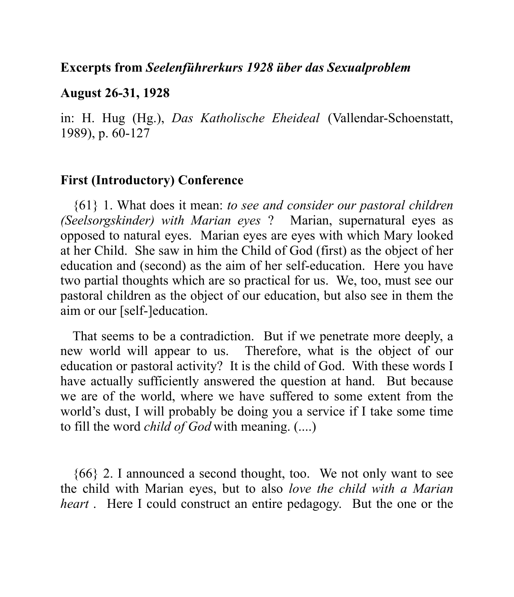### **Excerpts from** *Seelenführerkurs 1928 über das Sexualproblem*

#### **August 26-31, 1928**

in: H. Hug (Hg.), *Das Katholische Eheideal* (Vallendar-Schoenstatt, 1989), p. 60-127

### **First (Introductory) Conference**

{61} 1. What does it mean: *to see and consider our pastoral children (Seelsorgskinder) with Marian eyes* ? Marian, supernatural eyes as opposed to natural eyes. Marian eyes are eyes with which Mary looked at her Child. She saw in him the Child of God (first) as the object of her education and (second) as the aim of her self-education. Here you have two partial thoughts which are so practical for us. We, too, must see our pastoral children as the object of our education, but also see in them the aim or our [self-]education.

That seems to be a contradiction. But if we penetrate more deeply, a new world will appear to us. Therefore, what is the object of our education or pastoral activity? It is the child of God. With these words I have actually sufficiently answered the question at hand. But because we are of the world, where we have suffered to some extent from the world's dust, I will probably be doing you a service if I take some time to fill the word *child of God* with meaning. (....)

{66} 2. I announced a second thought, too. We not only want to see the child with Marian eyes, but to also *love the child with a Marian heart* . Here I could construct an entire pedagogy. But the one or the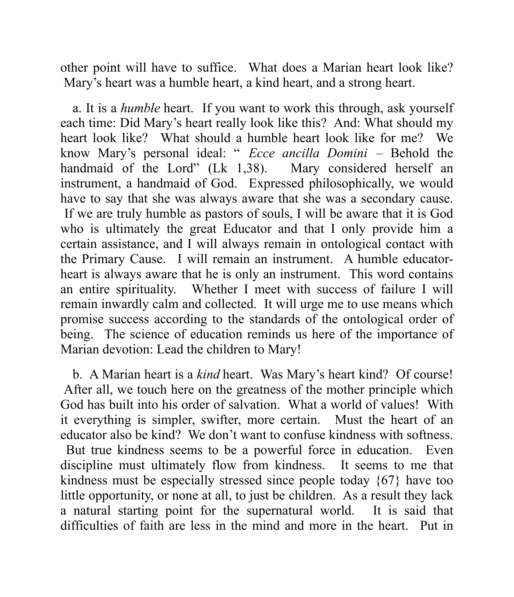other point will have to suffice. What does a Marian heart look like? Mary's heart was a humble heart, a kind heart, and a strong heart.

a. It is a *humble* heart. If you want to work this through, ask yourself each time: Did Mary's heart really look like this? And: What should my heart look like? What should a humble heart look like for me? We know Mary's personal ideal: " *Ecce ancilla Domini* – Behold the handmaid of the Lord" (Lk 1,38). Mary considered herself an instrument, a handmaid of God. Expressed philosophically, we would have to say that she was always aware that she was a secondary cause. If we are truly humble as pastors of souls, I will be aware that it is God who is ultimately the great Educator and that I only provide him a certain assistance, and I will always remain in ontological contact with the Primary Cause. I will remain an instrument. A humble educatorheart is always aware that he is only an instrument. This word contains an entire spirituality. Whether I meet with success of failure I will remain inwardly calm and collected. It will urge me to use means which promise success according to the standards of the ontological order of being. The science of education reminds us here of the importance of Marian devotion: Lead the children to Mary!

b. A Marian heart is a *kind* heart. Was Mary's heart kind? Of course! After all, we touch here on the greatness of the mother principle which God has built into his order of salvation. What a world of values! With it everything is simpler, swifter, more certain. Must the heart of an educator also be kind? We don't want to confuse kindness with softness. But true kindness seems to be a powerful force in education. Even discipline must ultimately flow from kindness. It seems to me that kindness must be especially stressed since people today {67} have too little opportunity, or none at all, to just be children. As a result they lack a natural starting point for the supernatural world. It is said that difficulties of faith are less in the mind and more in the heart. Put in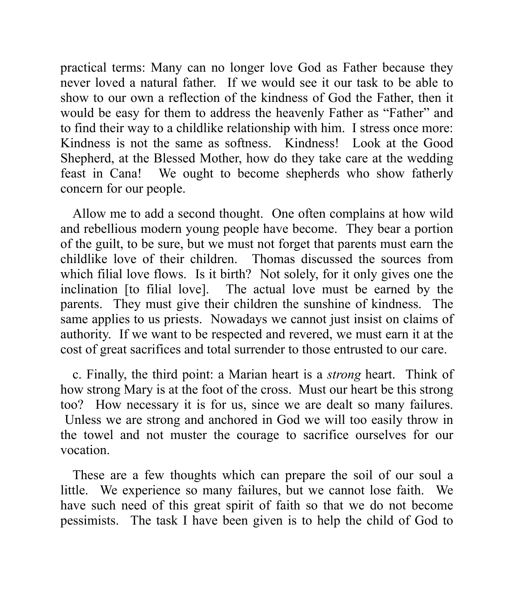practical terms: Many can no longer love God as Father because they never loved a natural father. If we would see it our task to be able to show to our own a reflection of the kindness of God the Father, then it would be easy for them to address the heavenly Father as "Father" and to find their way to a childlike relationship with him. I stress once more: Kindness is not the same as softness. Kindness! Look at the Good Shepherd, at the Blessed Mother, how do they take care at the wedding feast in Cana! We ought to become shepherds who show fatherly concern for our people.

Allow me to add a second thought. One often complains at how wild and rebellious modern young people have become. They bear a portion of the guilt, to be sure, but we must not forget that parents must earn the childlike love of their children. Thomas discussed the sources from which filial love flows. Is it birth? Not solely, for it only gives one the inclination [to filial love]. The actual love must be earned by the parents. They must give their children the sunshine of kindness. The same applies to us priests. Nowadays we cannot just insist on claims of authority. If we want to be respected and revered, we must earn it at the cost of great sacrifices and total surrender to those entrusted to our care.

c. Finally, the third point: a Marian heart is a *strong* heart. Think of how strong Mary is at the foot of the cross. Must our heart be this strong too? How necessary it is for us, since we are dealt so many failures. Unless we are strong and anchored in God we will too easily throw in the towel and not muster the courage to sacrifice ourselves for our vocation.

These are a few thoughts which can prepare the soil of our soul a little. We experience so many failures, but we cannot lose faith. We have such need of this great spirit of faith so that we do not become pessimists. The task I have been given is to help the child of God to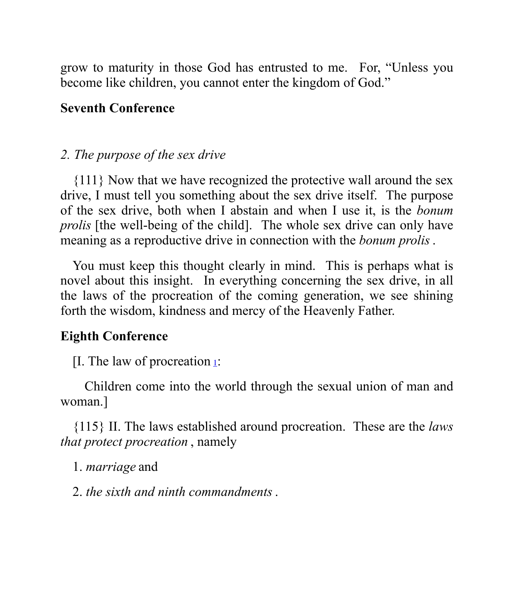grow to maturity in those God has entrusted to me. For, "Unless you become like children, you cannot enter the kingdom of God."

### **Seventh Conference**

# *2. The purpose of the sex drive*

{111} Now that we have recognized the protective wall around the sex drive, I must tell you something about the sex drive itself. The purpose of the sex drive, both when I abstain and when I use it, is the *bonum prolis* [the well-being of the child]. The whole sex drive can only have meaning as a reproductive drive in connection with the *bonum prolis*.

You must keep this thought clearly in mind. This is perhaps what is novel about this insight. In everything concerning the sex drive, in all the laws of the procreation of the coming generation, we see shining forth the wisdom, kindness and mercy of the Heavenly Father.

## **Eighth Conference**

[I. The law of procreation  $\frac{1}{2}$ :

Children come into the world through the sexual union of man and woman.]

{115} II. The laws established around procreation. These are the *laws that protect procreation* , namely

1. *marriage* and

2. *the sixth and ninth commandments*.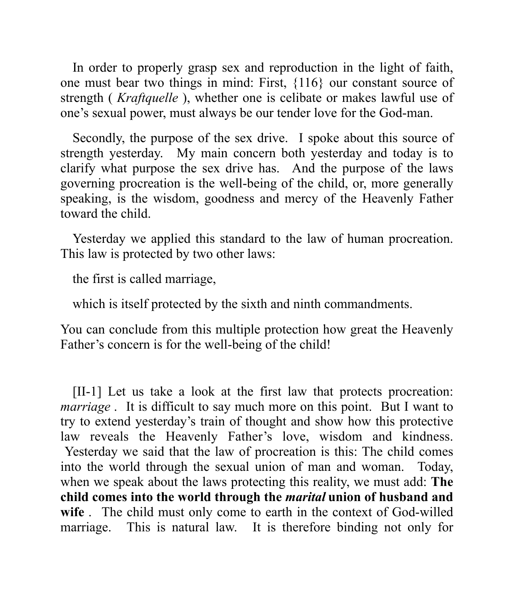In order to properly grasp sex and reproduction in the light of faith, one must bear two things in mind: First, {116} our constant source of strength ( *Kraftquelle* ), whether one is celibate or makes lawful use of one's sexual power, must always be our tender love for the God-man.

Secondly, the purpose of the sex drive. I spoke about this source of strength yesterday. My main concern both yesterday and today is to clarify what purpose the sex drive has. And the purpose of the laws governing procreation is the well-being of the child, or, more generally speaking, is the wisdom, goodness and mercy of the Heavenly Father toward the child.

Yesterday we applied this standard to the law of human procreation. This law is protected by two other laws:

the first is called marriage,

which is itself protected by the sixth and ninth commandments.

You can conclude from this multiple protection how great the Heavenly Father's concern is for the well-being of the child!

[II-1] Let us take a look at the first law that protects procreation: *marriage*. It is difficult to say much more on this point. But I want to try to extend yesterday's train of thought and show how this protective law reveals the Heavenly Father's love, wisdom and kindness. Yesterday we said that the law of procreation is this: The child comes into the world through the sexual union of man and woman. Today, when we speak about the laws protecting this reality, we must add: **The child comes into the world through the** *marital* **union of husband and wife** . The child must only come to earth in the context of God-willed marriage. This is natural law. It is therefore binding not only for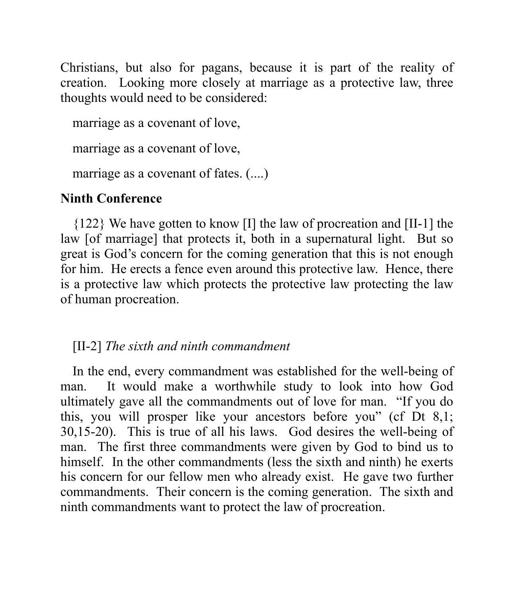Christians, but also for pagans, because it is part of the reality of creation. Looking more closely at marriage as a protective law, three thoughts would need to be considered:

marriage as a covenant of love, marriage as a covenant of love, marriage as a covenant of fates.  $(\dots)$ 

# **Ninth Conference**

{122} We have gotten to know [I] the law of procreation and [II-1] the law [of marriage] that protects it, both in a supernatural light. But so great is God's concern for the coming generation that this is not enough for him. He erects a fence even around this protective law. Hence, there is a protective law which protects the protective law protecting the law of human procreation.

[II-2] *The sixth and ninth commandment*

In the end, every commandment was established for the well-being of man. It would make a worthwhile study to look into how God ultimately gave all the commandments out of love for man. "If you do this, you will prosper like your ancestors before you" (cf Dt 8,1; 30,15-20). This is true of all his laws. God desires the well-being of man. The first three commandments were given by God to bind us to himself. In the other commandments (less the sixth and ninth) he exerts his concern for our fellow men who already exist. He gave two further commandments. Their concern is the coming generation. The sixth and ninth commandments want to protect the law of procreation.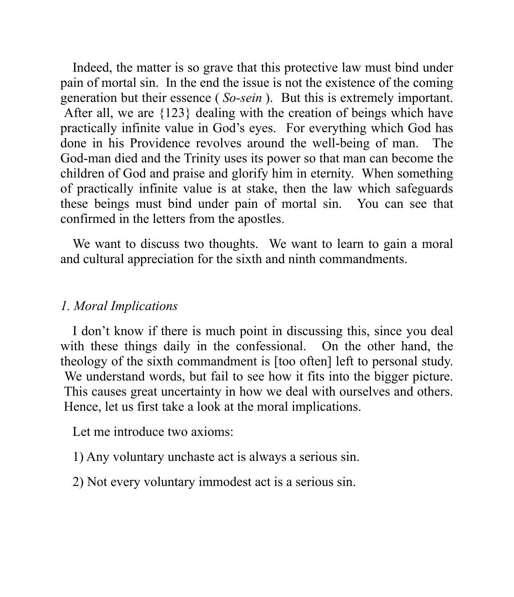Indeed, the matter is so grave that this protective law must bind under pain of mortal sin. In the end the issue is not the existence of the coming generation but their essence ( *So-sein* ). But this is extremely important. After all, we are {123} dealing with the creation of beings which have practically infinite value in God's eyes. For everything which God has done in his Providence revolves around the well-being of man. The God-man died and the Trinity uses its power so that man can become the children of God and praise and glorify him in eternity. When something of practically infinite value is at stake, then the law which safeguards these beings must bind under pain of mortal sin. You can see that confirmed in the letters from the apostles.

We want to discuss two thoughts. We want to learn to gain a moral and cultural appreciation for the sixth and ninth commandments.

# *1. Moral Implications*

I don't know if there is much point in discussing this, since you deal with these things daily in the confessional. On the other hand, the theology of the sixth commandment is [too often] left to personal study. We understand words, but fail to see how it fits into the bigger picture. This causes great uncertainty in how we deal with ourselves and others. Hence, let us first take a look at the moral implications.

Let me introduce two axioms:

1) Any voluntary unchaste act is always a serious sin.

2) Not every voluntary immodest act is a serious sin.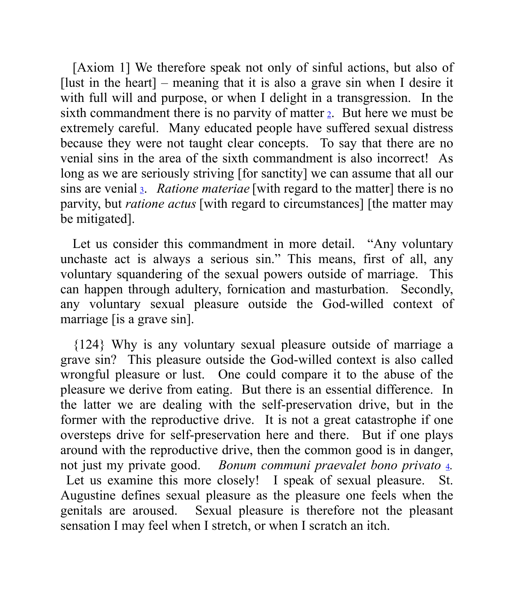[Axiom 1] We therefore speak not only of sinful actions, but also of [lust in the heart] – meaning that it is also a grave sin when I desire it with full will and purpose, or when I delight in a transgression. In the sixth commandment there is no parvity of matter  $\alpha$ . But here we must be extremely careful. Many educated people have suffered sexual distress because they were not taught clear concepts. To say that there are no venial sins in the area of the sixth commandment is also incorrect! As long as we are seriously striving [for sanctity] we can assume that all our sins are venial <sup>3</sup>. *Ratione materiae* [with regard to the matter] there is no parvity, but *ratione actus* [with regard to circumstances] [the matter may be mitigated].

Let us consider this commandment in more detail. "Any voluntary unchaste act is always a serious sin." This means, first of all, any voluntary squandering of the sexual powers outside of marriage. This can happen through adultery, fornication and masturbation. Secondly, any voluntary sexual pleasure outside the God-willed context of marriage [is a grave sin].

{124} Why is any voluntary sexual pleasure outside of marriage a grave sin? This pleasure outside the God-willed context is also called wrongful pleasure or lust. One could compare it to the abuse of the pleasure we derive from eating. But there is an essential difference. In the latter we are dealing with the self-preservation drive, but in the former with the reproductive drive. It is not a great catastrophe if one oversteps drive for self-preservation here and there. But if one plays around with the reproductive drive, then the common good is in danger, not just my private good. *Bonum communi praevalet bono privato* <sup>4</sup>*.* Let us examine this more closely! I speak of sexual pleasure. St. Augustine defines sexual pleasure as the pleasure one feels when the genitals are aroused. Sexual pleasure is therefore not the pleasant sensation I may feel when I stretch, or when I scratch an itch.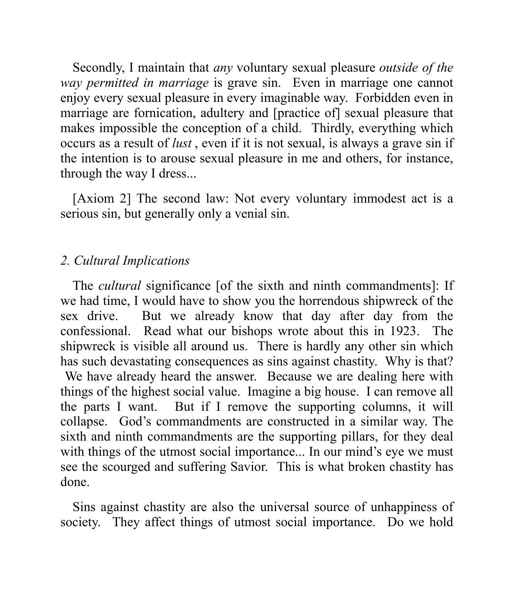Secondly, I maintain that *any* voluntary sexual pleasure *outside of the way permitted in marriage* is grave sin. Even in marriage one cannot enjoy every sexual pleasure in every imaginable way. Forbidden even in marriage are fornication, adultery and [practice of] sexual pleasure that makes impossible the conception of a child. Thirdly, everything which occurs as a result of *lust* , even if it is not sexual, is always a grave sin if the intention is to arouse sexual pleasure in me and others, for instance, through the way I dress...

[Axiom 2] The second law: Not every voluntary immodest act is a serious sin, but generally only a venial sin.

### *2. Cultural Implications*

The *cultural* significance [of the sixth and ninth commandments]: If we had time, I would have to show you the horrendous shipwreck of the sex drive. But we already know that day after day from the confessional. Read what our bishops wrote about this in 1923. The shipwreck is visible all around us. There is hardly any other sin which has such devastating consequences as sins against chastity. Why is that? We have already heard the answer. Because we are dealing here with things of the highest social value. Imagine a big house. I can remove all the parts I want. But if I remove the supporting columns, it will collapse. God's commandments are constructed in a similar way. The sixth and ninth commandments are the supporting pillars, for they deal with things of the utmost social importance... In our mind's eye we must see the scourged and suffering Savior. This is what broken chastity has done.

Sins against chastity are also the universal source of unhappiness of society. They affect things of utmost social importance. Do we hold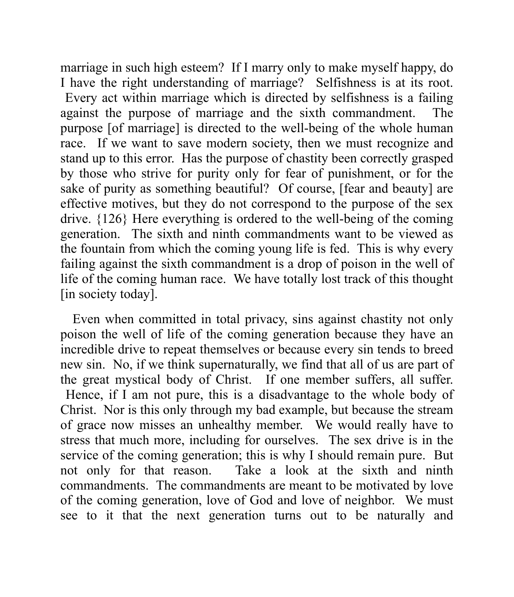marriage in such high esteem? If I marry only to make myself happy, do I have the right understanding of marriage? Selfishness is at its root. Every act within marriage which is directed by selfishness is a failing against the purpose of marriage and the sixth commandment. The purpose [of marriage] is directed to the well-being of the whole human race. If we want to save modern society, then we must recognize and stand up to this error. Has the purpose of chastity been correctly grasped by those who strive for purity only for fear of punishment, or for the sake of purity as something beautiful? Of course, [fear and beauty] are effective motives, but they do not correspond to the purpose of the sex drive. {126} Here everything is ordered to the well-being of the coming generation. The sixth and ninth commandments want to be viewed as the fountain from which the coming young life is fed. This is why every failing against the sixth commandment is a drop of poison in the well of life of the coming human race. We have totally lost track of this thought [in society today].

Even when committed in total privacy, sins against chastity not only poison the well of life of the coming generation because they have an incredible drive to repeat themselves or because every sin tends to breed new sin. No, if we think supernaturally, we find that all of us are part of the great mystical body of Christ. If one member suffers, all suffer. Hence, if I am not pure, this is a disadvantage to the whole body of Christ. Nor is this only through my bad example, but because the stream of grace now misses an unhealthy member. We would really have to stress that much more, including for ourselves. The sex drive is in the service of the coming generation; this is why I should remain pure. But not only for that reason. Take a look at the sixth and ninth commandments. The commandments are meant to be motivated by love of the coming generation, love of God and love of neighbor. We must see to it that the next generation turns out to be naturally and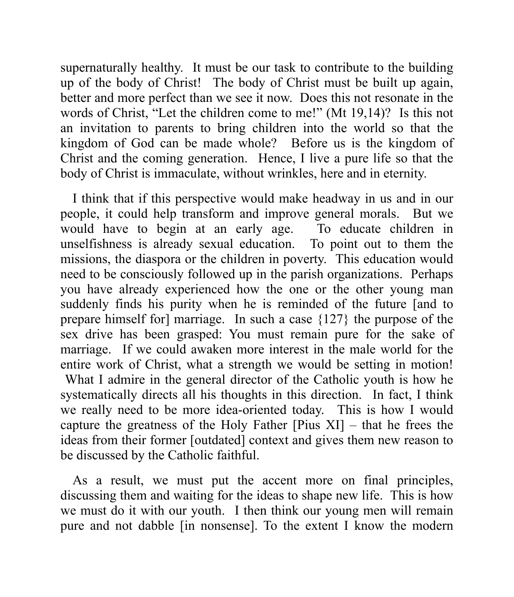supernaturally healthy. It must be our task to contribute to the building up of the body of Christ! The body of Christ must be built up again, better and more perfect than we see it now. Does this not resonate in the words of Christ, "Let the children come to me!" (Mt 19,14)? Is this not an invitation to parents to bring children into the world so that the kingdom of God can be made whole? Before us is the kingdom of Christ and the coming generation. Hence, I live a pure life so that the body of Christ is immaculate, without wrinkles, here and in eternity.

I think that if this perspective would make headway in us and in our people, it could help transform and improve general morals. But we would have to begin at an early age. To educate children in unselfishness is already sexual education. To point out to them the missions, the diaspora or the children in poverty. This education would need to be consciously followed up in the parish organizations. Perhaps you have already experienced how the one or the other young man suddenly finds his purity when he is reminded of the future [and to prepare himself for] marriage. In such a case {127} the purpose of the sex drive has been grasped: You must remain pure for the sake of marriage. If we could awaken more interest in the male world for the entire work of Christ, what a strength we would be setting in motion! What I admire in the general director of the Catholic youth is how he systematically directs all his thoughts in this direction. In fact, I think we really need to be more idea-oriented today. This is how I would capture the greatness of the Holy Father [Pius XI] – that he frees the ideas from their former [outdated] context and gives them new reason to be discussed by the Catholic faithful.

As a result, we must put the accent more on final principles, discussing them and waiting for the ideas to shape new life. This is how we must do it with our youth. I then think our young men will remain pure and not dabble [in nonsense]. To the extent I know the modern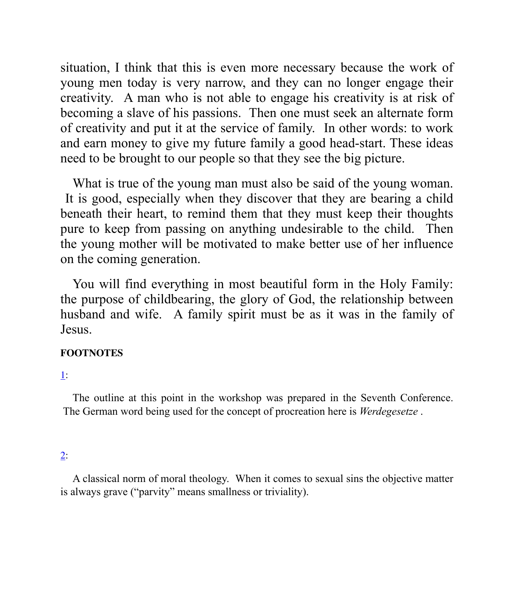situation, I think that this is even more necessary because the work of young men today is very narrow, and they can no longer engage their creativity. A man who is not able to engage his creativity is at risk of becoming a slave of his passions. Then one must seek an alternate form of creativity and put it at the service of family. In other words: to work and earn money to give my future family a good head-start. These ideas need to be brought to our people so that they see the big picture.

What is true of the young man must also be said of the young woman. It is good, especially when they discover that they are bearing a child beneath their heart, to remind them that they must keep their thoughts pure to keep from passing on anything undesirable to the child. Then the young mother will be motivated to make better use of her influence on the coming generation.

You will find everything in most beautiful form in the Holy Family: the purpose of childbearing, the glory of God, the relationship between husband and wife. A family spirit must be as it was in the family of Jesus.

#### **FOOTNOTES**

### 1:

The outline at this point in the workshop was prepared in the Seventh Conference. The German word being used for the concept of procreation here is *Werdegesetze* .

### 2:

A classical norm of moral theology. When it comes to sexual sins the objective matter is always grave ("parvity" means smallness or triviality).